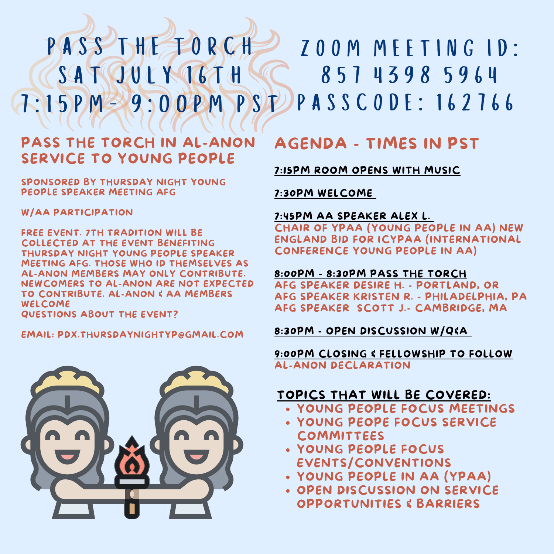# PASS THE TORCH SATION I YOKAH 7:15PM- 9:00PM PSDPASSCODE: 162766 ZOOM MEETING ID: 857 4398 5964

## PASS THE TORCH IN AL-ANON SERVICE TO YOUNG PEOPLE

SPONSORED BY THURSDAY NIGHT YOUNG PEOPLE SPEAKER MEETING AFG

#### W/AA PARTICIPATION

FREE EVENT. 7TH TRADITION WILL BE COLLECTED AT THE EVENT BENEFITING THURSDAY NIGHT YOUNG PEOPLE SPEAKER MEETING AFG. THOSE WHO ID THEMSELVES AS AL-ANON MEMBERS MAY ONLY CONTRIBUTE. NEWCOMERS TO AL-ANON ARE NOT EXPECTED TO CONTRIBUTE. AL-ANON & AA MEMBERS WELCOME

QUESTIONS ABOUT THE EVENT?

EMAIL: PDX.THURSDAYNIGHTYP@GMAIL.COM



# AGENDA - TIMES IN PST

7:15PM ROOM OPENS WITH MUSIC

7:30PM WELCOME

#### 7:45PM AA SPEAKER ALEX L.

CHAIR OF YPAA (YOUNG PEOPLE IN AA) NEW ENGLAND BID FOR ICYPAA (INTERNATIONAL CONFERENCE YOUNG PEOPLE IN AA)

### 8:00PM - 8:30PM PASS THE TORCH

AFG SPEAKER DESIRE H. - PORTLAND, OR AFG SPEAKER KRISTEN R. - PHILADELPHIA, PA AFG SPEAKER SCOTT J.- CAMBRIDGE, MA

### 8:30PM - OPEN DISCUSSION W/Q&A

#### 9:00PM CLOSING & FELLOWSHIP TO FOLLOW AL-ANON DECLARATION

## TOPICS THAT WILL BE COVERED:

- YOUNG PEOPLE FOCUS MEETINGS
- YOUNG PEOPE FOCUS SERVICE COMMITTEES
- YOUNG PEOPLE FOCUS EVENTS/CONVENTIONS
- YOUNG PEOPLE IN AA (YPAA)
- **. OPEN DISCUSSION ON SERVICE** OPPORTUNITIES & BARRIERS